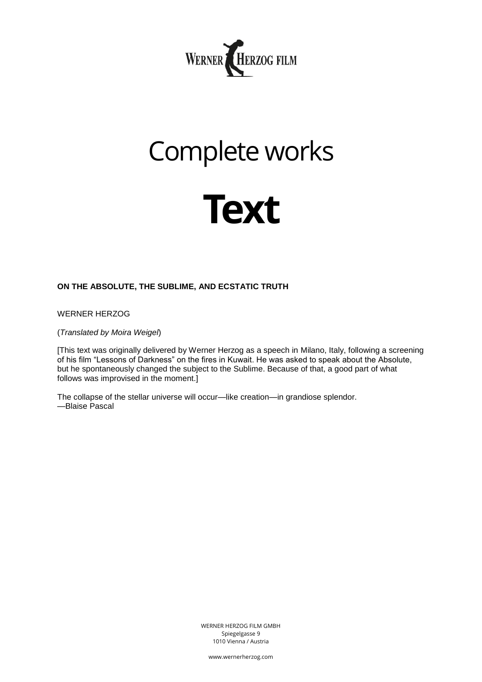

# Complete works



# **ON THE ABSOLUTE, THE SUBLIME, AND ECSTATIC TRUTH**

WERNER HERZOG

(*Translated by Moira Weigel*)

[This text was originally delivered by Werner Herzog as a speech in Milano, Italy, following a screening of his film "Lessons of Darkness" on the fires in Kuwait. He was asked to speak about the Absolute, but he spontaneously changed the subject to the Sublime. Because of that, a good part of what follows was improvised in the moment.]

The collapse of the stellar universe will occur—like creation—in grandiose splendor. —Blaise Pascal

> WERNER HERZOG FILM GMBH Spiegelgasse 9 1010 Vienna / Austria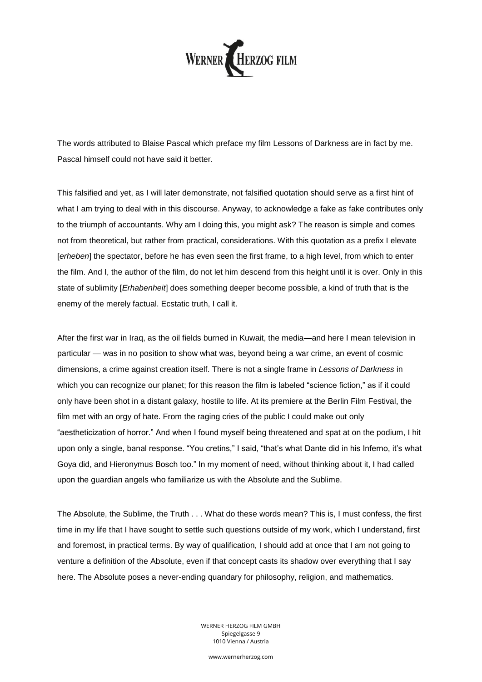

The words attributed to Blaise Pascal which preface my film Lessons of Darkness are in fact by me. Pascal himself could not have said it better.

This falsified and yet, as I will later demonstrate, not falsified quotation should serve as a first hint of what I am trying to deal with in this discourse. Anyway, to acknowledge a fake as fake contributes only to the triumph of accountants. Why am I doing this, you might ask? The reason is simple and comes not from theoretical, but rather from practical, considerations. With this quotation as a prefix I elevate [*erheben*] the spectator, before he has even seen the first frame, to a high level, from which to enter the film. And I, the author of the film, do not let him descend from this height until it is over. Only in this state of sublimity [*Erhabenheit*] does something deeper become possible, a kind of truth that is the enemy of the merely factual. Ecstatic truth, I call it.

After the first war in Iraq, as the oil fields burned in Kuwait, the media—and here I mean television in particular — was in no position to show what was, beyond being a war crime, an event of cosmic dimensions, a crime against creation itself. There is not a single frame in *Lessons of Darkness* in which you can recognize our planet; for this reason the film is labeled "science fiction," as if it could only have been shot in a distant galaxy, hostile to life. At its premiere at the Berlin Film Festival, the film met with an orgy of hate. From the raging cries of the public I could make out only "aestheticization of horror." And when I found myself being threatened and spat at on the podium, I hit upon only a single, banal response. "You cretins," I said, "that's what Dante did in his Inferno, it's what Goya did, and Hieronymus Bosch too." In my moment of need, without thinking about it, I had called upon the guardian angels who familiarize us with the Absolute and the Sublime.

The Absolute, the Sublime, the Truth . . . What do these words mean? This is, I must confess, the first time in my life that I have sought to settle such questions outside of my work, which I understand, first and foremost, in practical terms. By way of qualification, I should add at once that I am not going to venture a definition of the Absolute, even if that concept casts its shadow over everything that I say here. The Absolute poses a never-ending quandary for philosophy, religion, and mathematics.

> WERNER HERZOG FILM GMBH Spiegelgasse 9 1010 Vienna / Austria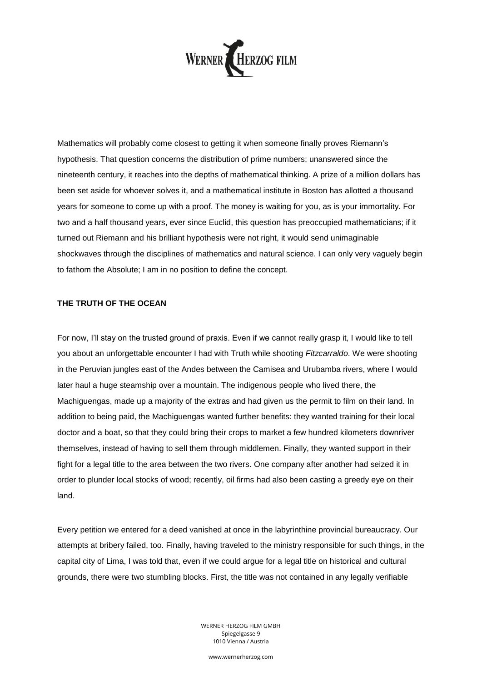

Mathematics will probably come closest to getting it when someone finally proves Riemann's hypothesis. That question concerns the distribution of prime numbers; unanswered since the nineteenth century, it reaches into the depths of mathematical thinking. A prize of a million dollars has been set aside for whoever solves it, and a mathematical institute in Boston has allotted a thousand years for someone to come up with a proof. The money is waiting for you, as is your immortality. For two and a half thousand years, ever since Euclid, this question has preoccupied mathematicians; if it turned out Riemann and his brilliant hypothesis were not right, it would send unimaginable shockwaves through the disciplines of mathematics and natural science. I can only very vaguely begin to fathom the Absolute; I am in no position to define the concept.

## **THE TRUTH OF THE OCEAN**

For now, I'll stay on the trusted ground of praxis. Even if we cannot really grasp it, I would like to tell you about an unforgettable encounter I had with Truth while shooting *Fitzcarraldo*. We were shooting in the Peruvian jungles east of the Andes between the Camisea and Urubamba rivers, where I would later haul a huge steamship over a mountain. The indigenous people who lived there, the Machiguengas, made up a majority of the extras and had given us the permit to film on their land. In addition to being paid, the Machiguengas wanted further benefits: they wanted training for their local doctor and a boat, so that they could bring their crops to market a few hundred kilometers downriver themselves, instead of having to sell them through middlemen. Finally, they wanted support in their fight for a legal title to the area between the two rivers. One company after another had seized it in order to plunder local stocks of wood; recently, oil firms had also been casting a greedy eye on their land.

Every petition we entered for a deed vanished at once in the labyrinthine provincial bureaucracy. Our attempts at bribery failed, too. Finally, having traveled to the ministry responsible for such things, in the capital city of Lima, I was told that, even if we could argue for a legal title on historical and cultural grounds, there were two stumbling blocks. First, the title was not contained in any legally verifiable

> WERNER HERZOG FILM GMBH Spiegelgasse 9 1010 Vienna / Austria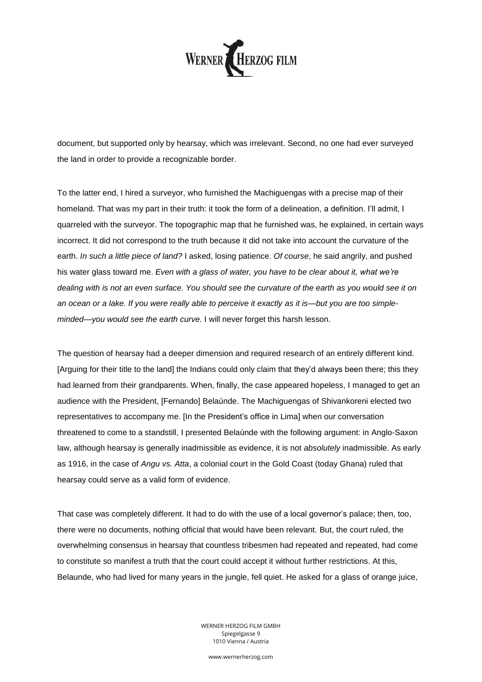

document, but supported only by hearsay, which was irrelevant. Second, no one had ever surveyed the land in order to provide a recognizable border.

To the latter end, I hired a surveyor, who furnished the Machiguengas with a precise map of their homeland. That was my part in their truth: it took the form of a delineation, a definition. I'll admit, I quarreled with the surveyor. The topographic map that he furnished was, he explained, in certain ways incorrect. It did not correspond to the truth because it did not take into account the curvature of the earth. *In such a little piece of land?* I asked, losing patience. *Of course*, he said angrily, and pushed his water glass toward me. *Even with a glass of water, you have to be clear about it, what we're dealing with is not an even surface. You should see the curvature of the earth as you would see it on an ocean or a lake. If you were really able to perceive it exactly as it is—but you are too simpleminded—you would see the earth curve.* I will never forget this harsh lesson.

The question of hearsay had a deeper dimension and required research of an entirely different kind. [Arguing for their title to the land] the Indians could only claim that they'd always been there; this they had learned from their grandparents. When, finally, the case appeared hopeless, I managed to get an audience with the President, [Fernando] Belaúnde. The Machiguengas of Shivankoreni elected two representatives to accompany me. [In the President's office in Lima] when our conversation threatened to come to a standstill, I presented Belaúnde with the following argument: in Anglo-Saxon law, although hearsay is generally inadmissible as evidence, it is not *absolutely* inadmissible. As early as 1916, in the case of *Angu vs. Atta*, a colonial court in the Gold Coast (today Ghana) ruled that hearsay could serve as a valid form of evidence.

That case was completely different. It had to do with the use of a local governor's palace; then, too, there were no documents, nothing official that would have been relevant. But, the court ruled, the overwhelming consensus in hearsay that countless tribesmen had repeated and repeated, had come to constitute so manifest a truth that the court could accept it without further restrictions. At this, Belaunde, who had lived for many years in the jungle, fell quiet. He asked for a glass of orange juice,

> WERNER HERZOG FILM GMBH Spiegelgasse 9 1010 Vienna / Austria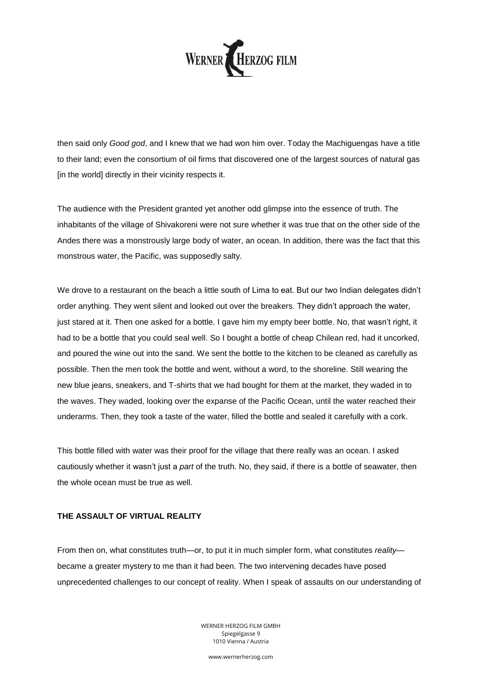

then said only *Good god*, and I knew that we had won him over. Today the Machiguengas have a title to their land; even the consortium of oil firms that discovered one of the largest sources of natural gas [in the world] directly in their vicinity respects it.

The audience with the President granted yet another odd glimpse into the essence of truth. The inhabitants of the village of Shivakoreni were not sure whether it was true that on the other side of the Andes there was a monstrously large body of water, an ocean. In addition, there was the fact that this monstrous water, the Pacific, was supposedly salty.

We drove to a restaurant on the beach a little south of Lima to eat. But our two Indian delegates didn't order anything. They went silent and looked out over the breakers. They didn't approach the water, just stared at it. Then one asked for a bottle. I gave him my empty beer bottle. No, that wasn't right, it had to be a bottle that you could seal well. So I bought a bottle of cheap Chilean red, had it uncorked, and poured the wine out into the sand. We sent the bottle to the kitchen to be cleaned as carefully as possible. Then the men took the bottle and went, without a word, to the shoreline. Still wearing the new blue jeans, sneakers, and T-shirts that we had bought for them at the market, they waded in to the waves. They waded, looking over the expanse of the Pacific Ocean, until the water reached their underarms. Then, they took a taste of the water, filled the bottle and sealed it carefully with a cork.

This bottle filled with water was their proof for the village that there really was an ocean. I asked cautiously whether it wasn't just a *part* of the truth. No, they said, if there is a bottle of seawater, then the whole ocean must be true as well.

## **THE ASSAULT OF VIRTUAL REALITY**

From then on, what constitutes truth—or, to put it in much simpler form, what constitutes *reality* became a greater mystery to me than it had been. The two intervening decades have posed unprecedented challenges to our concept of reality. When I speak of assaults on our understanding of

> WERNER HERZOG FILM GMBH Spiegelgasse 9 1010 Vienna / Austria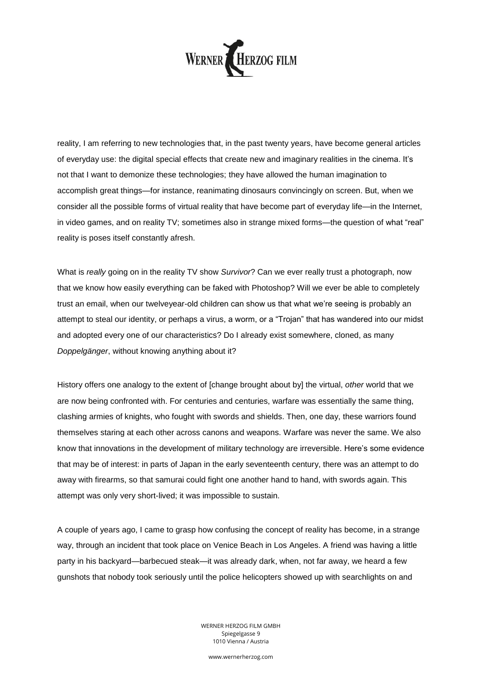

reality, I am referring to new technologies that, in the past twenty years, have become general articles of everyday use: the digital special effects that create new and imaginary realities in the cinema. It's not that I want to demonize these technologies; they have allowed the human imagination to accomplish great things—for instance, reanimating dinosaurs convincingly on screen. But, when we consider all the possible forms of virtual reality that have become part of everyday life—in the Internet, in video games, and on reality TV; sometimes also in strange mixed forms—the question of what "real" reality is poses itself constantly afresh.

What is *really* going on in the reality TV show *Survivor*? Can we ever really trust a photograph, now that we know how easily everything can be faked with Photoshop? Will we ever be able to completely trust an email, when our twelveyear-old children can show us that what we're seeing is probably an attempt to steal our identity, or perhaps a virus, a worm, or a "Trojan" that has wandered into our midst and adopted every one of our characteristics? Do I already exist somewhere, cloned, as many *Doppelgänger*, without knowing anything about it?

History offers one analogy to the extent of [change brought about by] the virtual, *other* world that we are now being confronted with. For centuries and centuries, warfare was essentially the same thing, clashing armies of knights, who fought with swords and shields. Then, one day, these warriors found themselves staring at each other across canons and weapons. Warfare was never the same. We also know that innovations in the development of military technology are irreversible. Here's some evidence that may be of interest: in parts of Japan in the early seventeenth century, there was an attempt to do away with firearms, so that samurai could fight one another hand to hand, with swords again. This attempt was only very short-lived; it was impossible to sustain.

A couple of years ago, I came to grasp how confusing the concept of reality has become, in a strange way, through an incident that took place on Venice Beach in Los Angeles. A friend was having a little party in his backyard—barbecued steak—it was already dark, when, not far away, we heard a few gunshots that nobody took seriously until the police helicopters showed up with searchlights on and

> WERNER HERZOG FILM GMBH Spiegelgasse 9 1010 Vienna / Austria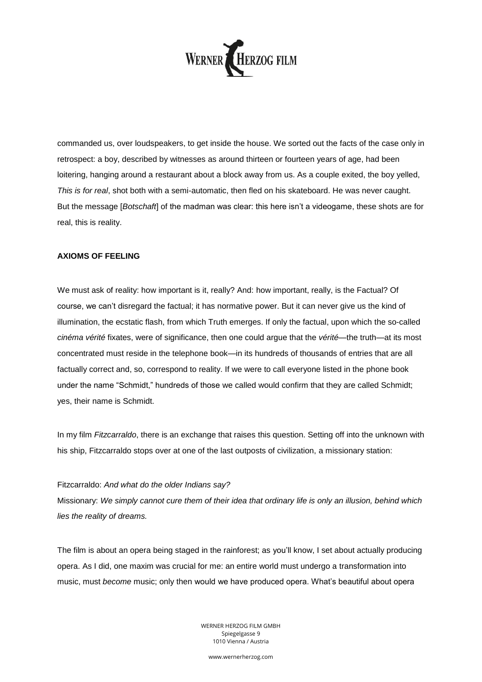

commanded us, over loudspeakers, to get inside the house. We sorted out the facts of the case only in retrospect: a boy, described by witnesses as around thirteen or fourteen years of age, had been loitering, hanging around a restaurant about a block away from us. As a couple exited, the boy yelled, *This is for real*, shot both with a semi-automatic, then fled on his skateboard. He was never caught. But the message [*Botschaft*] of the madman was clear: this here isn't a videogame, these shots are for real, this is reality.

## **AXIOMS OF FEELING**

We must ask of reality: how important is it, really? And: how important, really, is the Factual? Of course, we can't disregard the factual; it has normative power. But it can never give us the kind of illumination, the ecstatic flash, from which Truth emerges. If only the factual, upon which the so-called *cinéma vérité* fixates, were of significance, then one could argue that the *vérité*—the truth—at its most concentrated must reside in the telephone book—in its hundreds of thousands of entries that are all factually correct and, so, correspond to reality. If we were to call everyone listed in the phone book under the name "Schmidt," hundreds of those we called would confirm that they are called Schmidt; yes, their name is Schmidt.

In my film *Fitzcarraldo*, there is an exchange that raises this question. Setting off into the unknown with his ship, Fitzcarraldo stops over at one of the last outposts of civilization, a missionary station:

## Fitzcarraldo: *And what do the older Indians say?*

Missionary: *We simply cannot cure them of their idea that ordinary life is only an illusion, behind which lies the reality of dreams.*

The film is about an opera being staged in the rainforest; as you'll know, I set about actually producing opera. As I did, one maxim was crucial for me: an entire world must undergo a transformation into music, must *become* music; only then would we have produced opera. What's beautiful about opera

> WERNER HERZOG FILM GMBH Spiegelgasse 9 1010 Vienna / Austria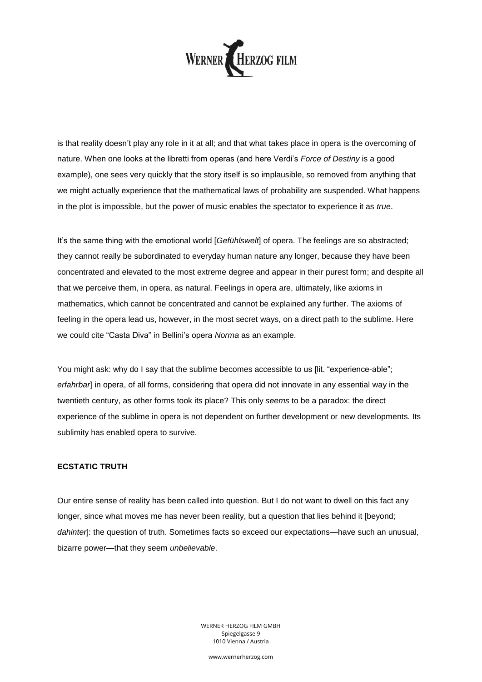

is that reality doesn't play any role in it at all; and that what takes place in opera is the overcoming of nature. When one looks at the libretti from operas (and here Verdi's *Force of Destiny* is a good example), one sees very quickly that the story itself is so implausible, so removed from anything that we might actually experience that the mathematical laws of probability are suspended. What happens in the plot is impossible, but the power of music enables the spectator to experience it as *true*.

It's the same thing with the emotional world [*Gefühlswelt*] of opera. The feelings are so abstracted; they cannot really be subordinated to everyday human nature any longer, because they have been concentrated and elevated to the most extreme degree and appear in their purest form; and despite all that we perceive them, in opera, as natural. Feelings in opera are, ultimately, like axioms in mathematics, which cannot be concentrated and cannot be explained any further. The axioms of feeling in the opera lead us, however, in the most secret ways, on a direct path to the sublime. Here we could cite "Casta Diva" in Bellini's opera *Norma* as an example.

You might ask: why do I say that the sublime becomes accessible to us [lit. "experience-able"; *erfahrbar*] in opera, of all forms, considering that opera did not innovate in any essential way in the twentieth century, as other forms took its place? This only *seems* to be a paradox: the direct experience of the sublime in opera is not dependent on further development or new developments. Its sublimity has enabled opera to survive.

## **ECSTATIC TRUTH**

Our entire sense of reality has been called into question. But I do not want to dwell on this fact any longer, since what moves me has never been reality, but a question that lies behind it [beyond; *dahinter*]: the question of truth. Sometimes facts so exceed our expectations—have such an unusual, bizarre power—that they seem *unbelievable*.

> WERNER HERZOG FILM GMBH Spiegelgasse 9 1010 Vienna / Austria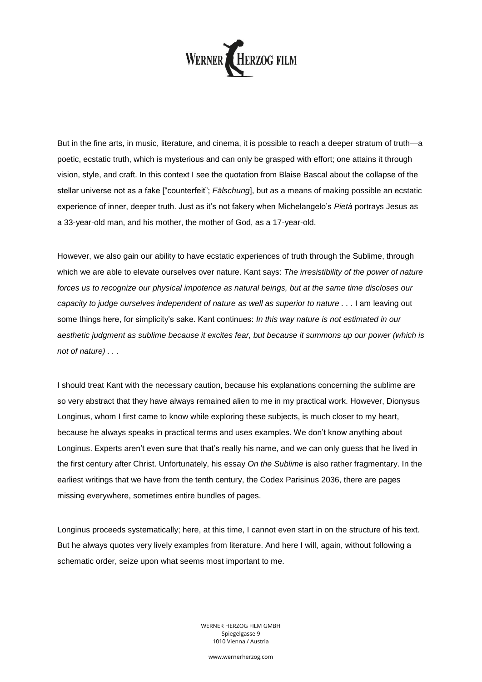

But in the fine arts, in music, literature, and cinema, it is possible to reach a deeper stratum of truth—a poetic, ecstatic truth, which is mysterious and can only be grasped with effort; one attains it through vision, style, and craft. In this context I see the quotation from Blaise Bascal about the collapse of the stellar universe not as a fake ["counterfeit"; *Fälschung*], but as a means of making possible an ecstatic experience of inner, deeper truth. Just as it's not fakery when Michelangelo's *Pietà* portrays Jesus as a 33-year-old man, and his mother, the mother of God, as a 17-year-old.

However, we also gain our ability to have ecstatic experiences of truth through the Sublime, through which we are able to elevate ourselves over nature. Kant says: *The irresistibility of the power of nature forces us to recognize our physical impotence as natural beings, but at the same time discloses our capacity to judge ourselves independent of nature as well as superior to nature . . .* I am leaving out some things here, for simplicity's sake. Kant continues: *In this way nature is not estimated in our aesthetic judgment as sublime because it excites fear, but because it summons up our power (which is not of nature) . . .*

I should treat Kant with the necessary caution, because his explanations concerning the sublime are so very abstract that they have always remained alien to me in my practical work. However, Dionysus Longinus, whom I first came to know while exploring these subjects, is much closer to my heart, because he always speaks in practical terms and uses examples. We don't know anything about Longinus. Experts aren't even sure that that's really his name, and we can only guess that he lived in the first century after Christ. Unfortunately, his essay *On the Sublime* is also rather fragmentary. In the earliest writings that we have from the tenth century, the Codex Parisinus 2036, there are pages missing everywhere, sometimes entire bundles of pages.

Longinus proceeds systematically; here, at this time, I cannot even start in on the structure of his text. But he always quotes very lively examples from literature. And here I will, again, without following a schematic order, seize upon what seems most important to me.

> WERNER HERZOG FILM GMBH Spiegelgasse 9 1010 Vienna / Austria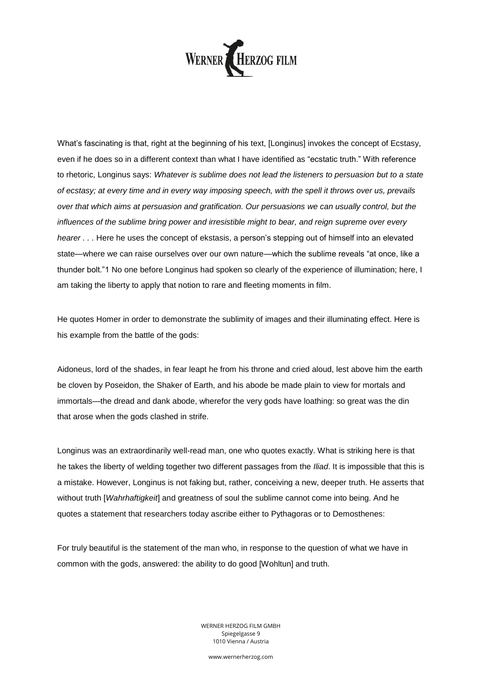

What's fascinating is that, right at the beginning of his text, [Longinus] invokes the concept of Ecstasy, even if he does so in a different context than what I have identified as "ecstatic truth." With reference to rhetoric, Longinus says: *Whatever is sublime does not lead the listeners to persuasion but to a state of ecstasy; at every time and in every way imposing speech, with the spell it throws over us, prevails over that which aims at persuasion and gratification. Our persuasions we can usually control, but the influences of the sublime bring power and irresistible might to bear, and reign supreme over every hearer . . .* Here he uses the concept of ekstasis, a person's stepping out of himself into an elevated state—where we can raise ourselves over our own nature—which the sublime reveals "at once, like a thunder bolt."1 No one before Longinus had spoken so clearly of the experience of illumination; here, I am taking the liberty to apply that notion to rare and fleeting moments in film.

He quotes Homer in order to demonstrate the sublimity of images and their illuminating effect. Here is his example from the battle of the gods:

Aidoneus, lord of the shades, in fear leapt he from his throne and cried aloud, lest above him the earth be cloven by Poseidon, the Shaker of Earth, and his abode be made plain to view for mortals and immortals—the dread and dank abode, wherefor the very gods have loathing: so great was the din that arose when the gods clashed in strife.

Longinus was an extraordinarily well-read man, one who quotes exactly. What is striking here is that he takes the liberty of welding together two different passages from the *Iliad*. It is impossible that this is a mistake. However, Longinus is not faking but, rather, conceiving a new, deeper truth. He asserts that without truth [*Wahrhaftigkeit*] and greatness of soul the sublime cannot come into being. And he quotes a statement that researchers today ascribe either to Pythagoras or to Demosthenes:

For truly beautiful is the statement of the man who, in response to the question of what we have in common with the gods, answered: the ability to do good [Wohltun] and truth.

> WERNER HERZOG FILM GMBH Spiegelgasse 9 1010 Vienna / Austria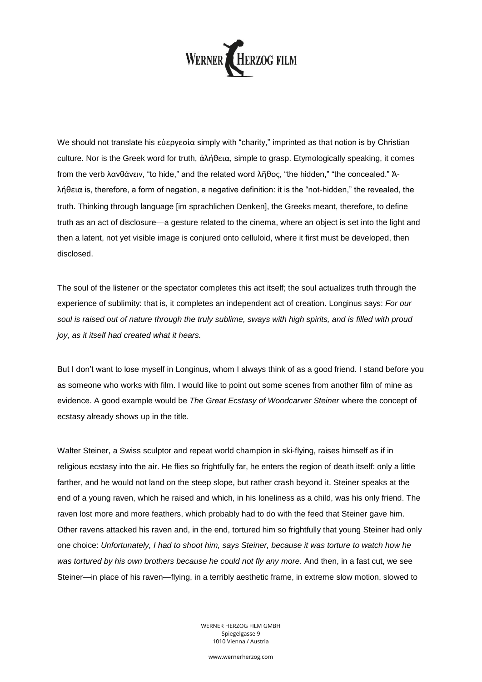

We should not translate his εὐεργεσία simply with "charity," imprinted as that notion is by Christian culture. Nor is the Greek word for truth, ἀλήθεια, simple to grasp. Etymologically speaking, it comes from the verb λανθάνειν, "to hide," and the related word λῆθος, "the hidden," "the concealed." Ἀλήθεια is, therefore, a form of negation, a negative definition: it is the "not-hidden," the revealed, the truth. Thinking through language [im sprachlichen Denken], the Greeks meant, therefore, to define truth as an act of disclosure—a gesture related to the cinema, where an object is set into the light and then a latent, not yet visible image is conjured onto celluloid, where it first must be developed, then disclosed.

The soul of the listener or the spectator completes this act itself; the soul actualizes truth through the experience of sublimity: that is, it completes an independent act of creation. Longinus says: *For our soul is raised out of nature through the truly sublime, sways with high spirits, and is filled with proud joy, as it itself had created what it hears.*

But I don't want to lose myself in Longinus, whom I always think of as a good friend. I stand before you as someone who works with film. I would like to point out some scenes from another film of mine as evidence. A good example would be *The Great Ecstasy of Woodcarver Steiner* where the concept of ecstasy already shows up in the title.

Walter Steiner, a Swiss sculptor and repeat world champion in ski-flying, raises himself as if in religious ecstasy into the air. He flies so frightfully far, he enters the region of death itself: only a little farther, and he would not land on the steep slope, but rather crash beyond it. Steiner speaks at the end of a young raven, which he raised and which, in his loneliness as a child, was his only friend. The raven lost more and more feathers, which probably had to do with the feed that Steiner gave him. Other ravens attacked his raven and, in the end, tortured him so frightfully that young Steiner had only one choice: *Unfortunately, I had to shoot him, says Steiner, because it was torture to watch how he was tortured by his own brothers because he could not fly any more.* And then, in a fast cut, we see Steiner—in place of his raven—flying, in a terribly aesthetic frame, in extreme slow motion, slowed to

> WERNER HERZOG FILM GMBH Spiegelgasse 9 1010 Vienna / Austria